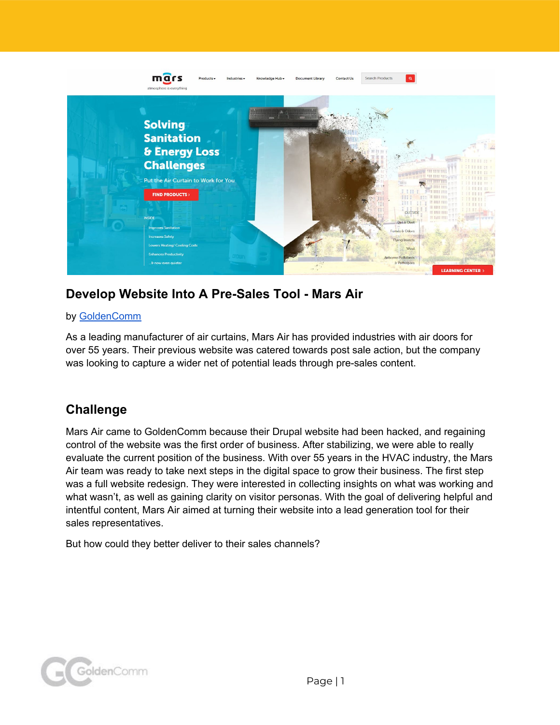

# **Develop Website Into A Pre-Sales Tool - Mars Air**

### by [GoldenComm](https://www.goldencomm.com/)

As a leading manufacturer of air curtains, Mars Air has provided industries with air doors for over 55 years. Their previous website was catered towards post sale action, but the company was looking to capture a wider net of potential leads through pre-sales content.

# **Challenge**

Mars Air came to GoldenComm because their Drupal website had been hacked, and regaining control of the website was the first order of business. After stabilizing, we were able to really evaluate the current position of the business. With over 55 years in the HVAC industry, the Mars Air team was ready to take next steps in the digital space to grow their business. The first step was a full website redesign. They were interested in collecting insights on what was working and what wasn't, as well as gaining clarity on visitor personas. With the goal of delivering helpful and intentful content, Mars Air aimed at turning their website into a lead generation tool for their sales representatives.

But how could they better deliver to their sales channels?

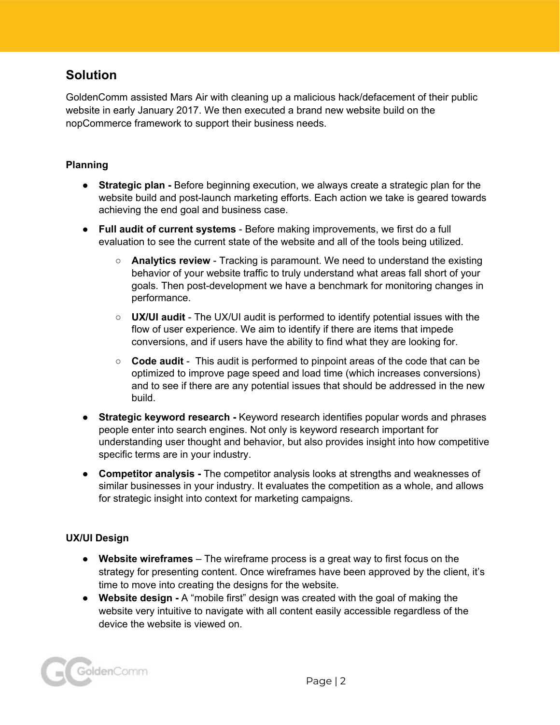# **Solution**

GoldenComm assisted Mars Air with cleaning up a malicious hack/defacement of their public website in early January 2017. We then executed a brand new website build on the nopCommerce framework to support their business needs.

#### **Planning**

- **● Strategic plan -** Before beginning execution, we always create a strategic plan for the website build and post-launch marketing efforts. Each action we take is geared towards achieving the end goal and business case.
- **● Full audit of current systems** Before making improvements, we first do a full evaluation to see the current state of the website and all of the tools being utilized.
	- **Analytics review** Tracking is paramount. We need to understand the existing behavior of your website traffic to truly understand what areas fall short of your goals. Then post-development we have a benchmark for monitoring changes in performance.
	- **UX/UI audit** The UX/UI audit is performed to identify potential issues with the flow of user experience. We aim to identify if there are items that impede conversions, and if users have the ability to find what they are looking for.
	- **Code audit** This audit is performed to pinpoint areas of the code that can be optimized to improve page speed and load time (which increases conversions) and to see if there are any potential issues that should be addressed in the new build.
- **● Strategic keyword research -** Keyword research identifies popular words and phrases people enter into search engines. Not only is keyword research important for understanding user thought and behavior, but also provides insight into how competitive specific terms are in your industry.
- **● Competitor analysis -** The competitor analysis looks at strengths and weaknesses of similar businesses in your industry. It evaluates the competition as a whole, and allows for strategic insight into context for marketing campaigns.

#### **UX/UI Design**

- **Website wireframes** The wireframe process is a great way to first focus on the strategy for presenting content. Once wireframes have been approved by the client, it's time to move into creating the designs for the website.
- **● Website design -** A "mobile first" design was created with the goal of making the website very intuitive to navigate with all content easily accessible regardless of the device the website is viewed on.

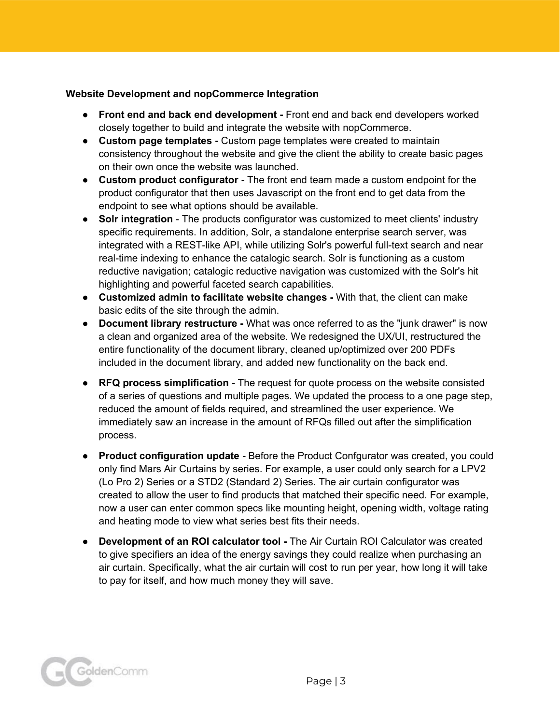#### **Website Development and nopCommerce Integration**

- **Front end and back end development -** Front end and back end developers worked closely together to build and integrate the website with nopCommerce.
- **Custom page templates -** Custom page templates were created to maintain consistency throughout the website and give the client the ability to create basic pages on their own once the website was launched.
- **Custom product configurator -** The front end team made a custom endpoint for the product configurator that then uses Javascript on the front end to get data from the endpoint to see what options should be available.
- **Solr integration** The products configurator was customized to meet clients' industry specific requirements. In addition, Solr, a standalone enterprise search server, was integrated with a REST-like API, while utilizing Solr's powerful full-text search and near real-time indexing to enhance the catalogic search. Solr is functioning as a custom reductive navigation; catalogic reductive navigation was customized with the Solr's hit highlighting and powerful faceted search capabilities.
- **Customized admin to facilitate website changes -** With that, the client can make basic edits of the site through the admin.
- **● Document library restructure -** What was once referred to as the "junk drawer" is now a clean and organized area of the website. We redesigned the UX/UI, restructured the entire functionality of the document library, cleaned up/optimized over 200 PDFs included in the document library, and added new functionality on the back end.
- **● RFQ process simplification -** The request for quote process on the website consisted of a series of questions and multiple pages. We updated the process to a one page step, reduced the amount of fields required, and streamlined the user experience. We immediately saw an increase in the amount of RFQs filled out after the simplification process.
- **● Product configuration update -** Before the Product Confgurator was created, you could only find Mars Air Curtains by series. For example, a user could only search for a LPV2 (Lo Pro 2) Series or a STD2 (Standard 2) Series. The air curtain configurator was created to allow the user to find products that matched their specific need. For example, now a user can enter common specs like mounting height, opening width, voltage rating and heating mode to view what series best fits their needs.
- **● Development of an ROI calculator tool -** The Air Curtain ROI Calculator was created to give specifiers an idea of the energy savings they could realize when purchasing an air curtain. Specifically, what the air curtain will cost to run per year, how long it will take to pay for itself, and how much money they will save.